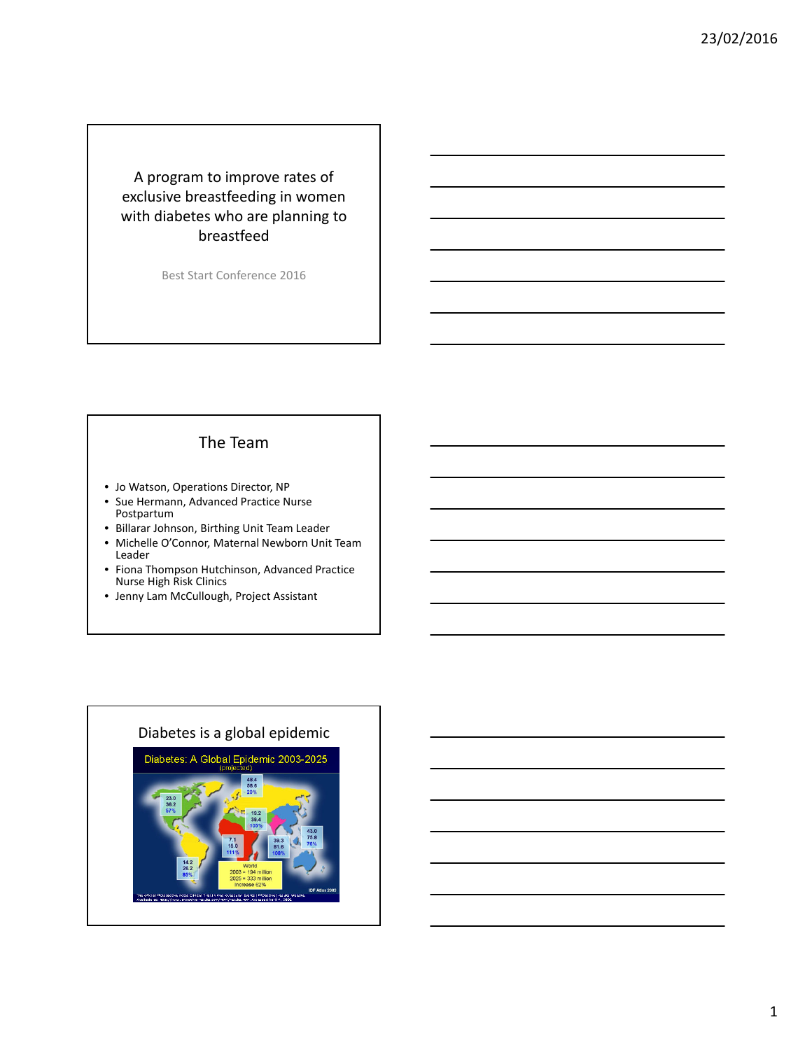A program to improve rates of exclusive breastfeeding in women with diabetes who are planning to breastfeed

Best Start Conference 2016

#### The Team

- Jo Watson, Operations Director, NP
- Sue Hermann, Advanced Practice Nurse Postpartum
- Billarar Johnson, Birthing Unit Team Leader
- Michelle O'Connor, Maternal Newborn Unit Team Leader
- Fiona Thompson Hutchinson, Advanced Practice Nurse High Risk Clinics
- Jenny Lam McCullough, Project Assistant

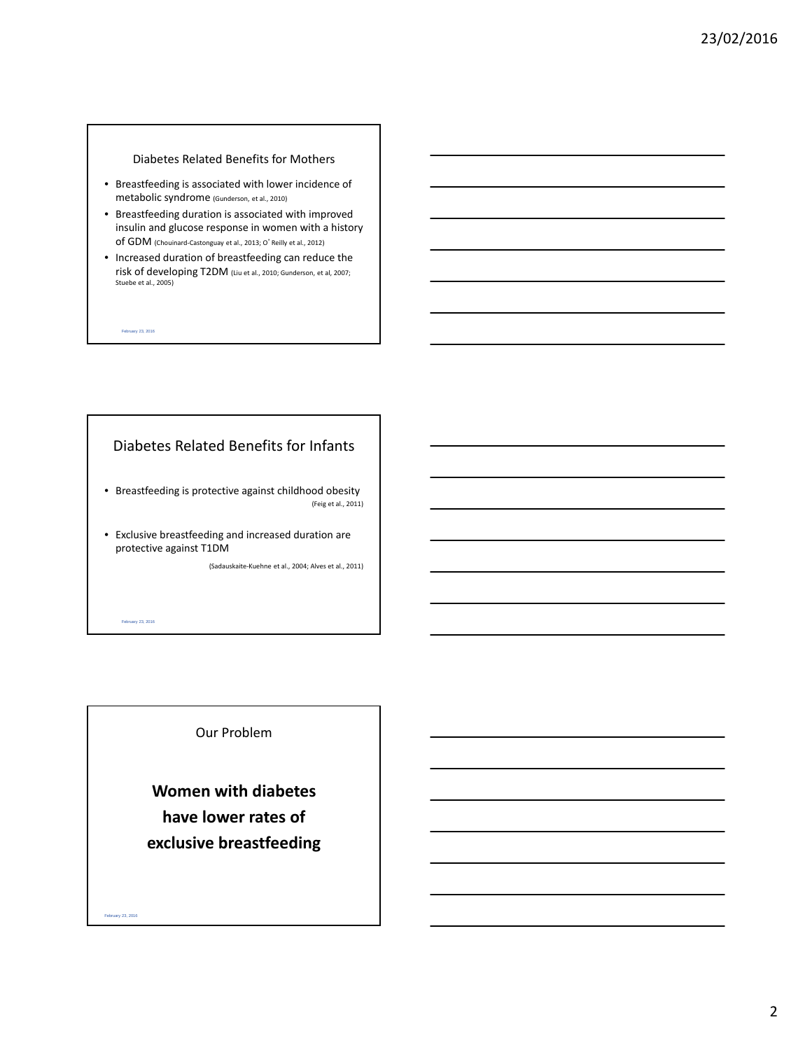#### Diabetes Related Benefits for Mothers

- Breastfeeding is associated with lower incidence of metabolic syndrome (Gunderson, et al., 2010)
- Breastfeeding duration is associated with improved insulin and glucose response in women with a history of GDM (Chouinard‐Castonguay et al., 2013; <sup>O</sup>'Reilly et al., 2012)
- Increased duration of breastfeeding can reduce the risk of developing T2DM (Liu et al., 2010; Gunderson, et al, 2007; Stuebe et al., 2005)

February 23, 2016

February 23, 2016

February 23, 2016

#### Diabetes Related Benefits for Infants

- Breastfeeding is protective against childhood obesity (Feig et al., 2011)
- Exclusive breastfeeding and increased duration are protective against T1DM

(Sadauskaite‐Kuehne et al., 2004; Alves et al., 2011)

#### Our Problem

**Women with diabetes have lower rates of exclusive breastfeeding**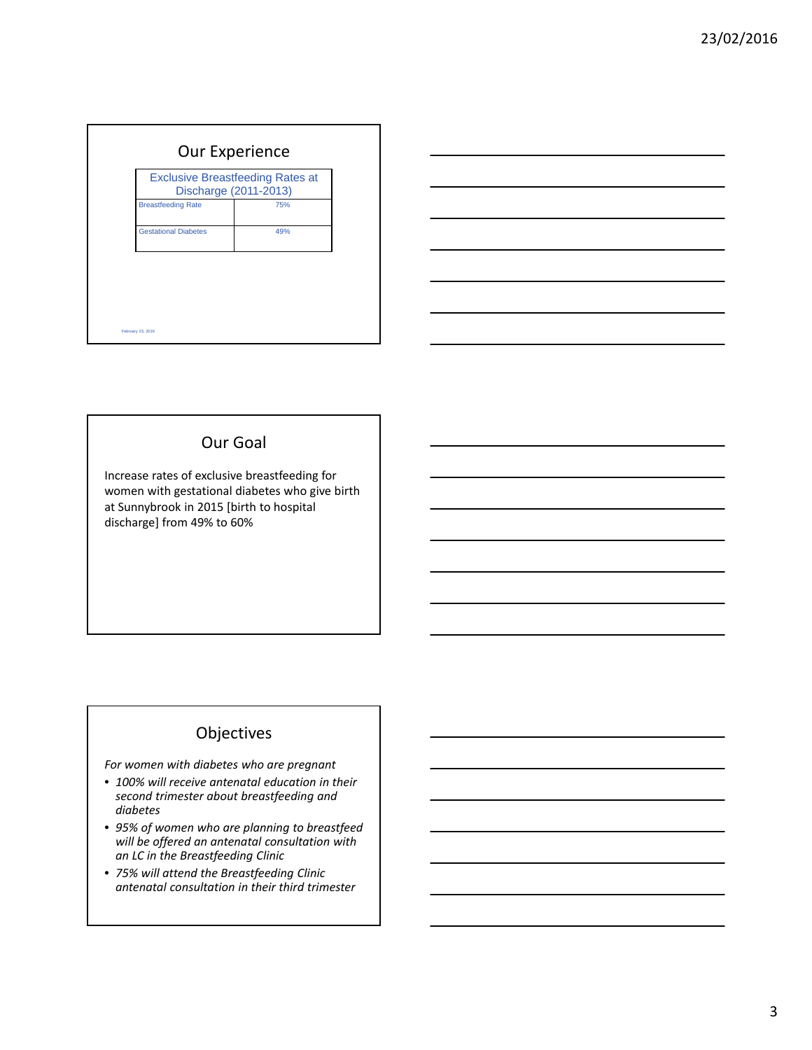| <b>Exclusive Breastfeeding Rates at</b><br>Discharge (2011-2013) |  |  |
|------------------------------------------------------------------|--|--|
| <b>Breastfeeding Rate</b><br>75%                                 |  |  |
| <b>Gestational Diabetes</b><br>49%                               |  |  |

### Our Goal

Increase rates of exclusive breastfeeding for women with gestational diabetes who give birth at Sunnybrook in 2015 [birth to hospital discharge] from 49% to 60%

# Objectives

*For women with diabetes who are pregnant*

- *100% will receive antenatal education in their second trimester about breastfeeding and diabetes*
- *95% of women who are planning to breastfeed will be offered an antenatal consultation with an LC in the Breastfeeding Clinic*
- *75% will attend the Breastfeeding Clinic antenatal consultation in their third trimester*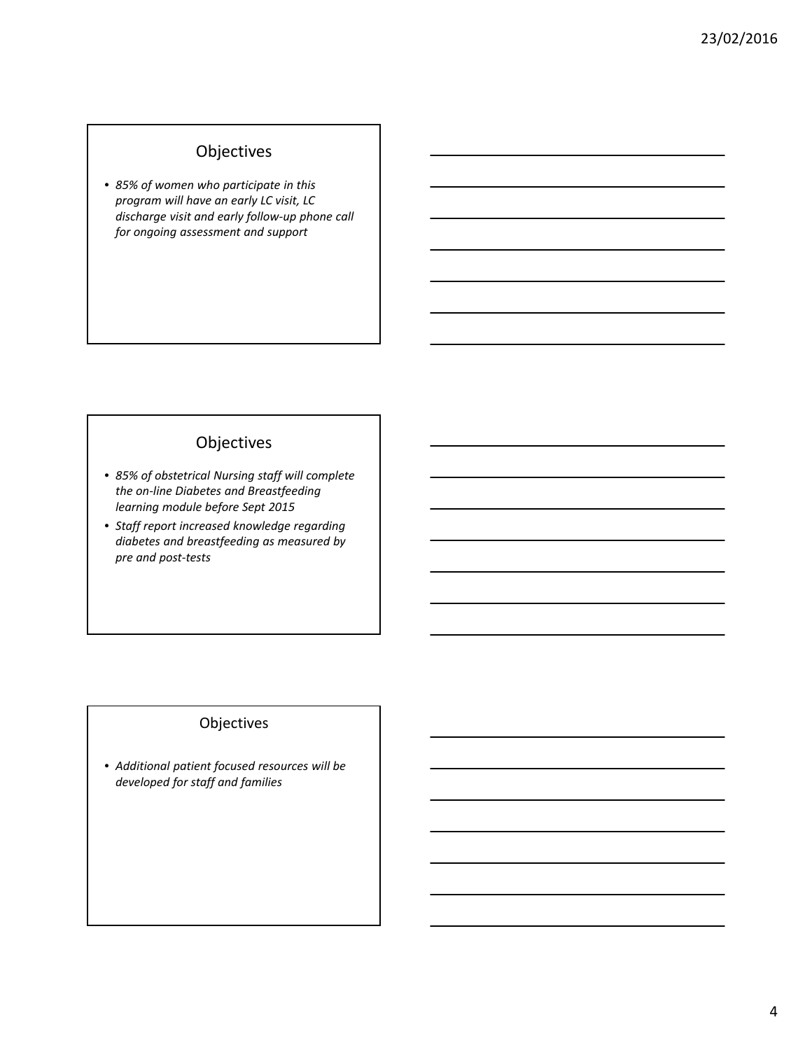# Objectives

• *85% of women who participate in this program will have an early LC visit, LC discharge visit and early follow‐up phone call for ongoing assessment and support*

### Objectives

- *85% of obstetrical Nursing staff will complete the on‐line Diabetes and Breastfeeding learning module before Sept 2015*
- *Staff report increased knowledge regarding diabetes and breastfeeding as measured by pre and post‐tests*

## Objectives

• *Additional patient focused resources will be developed for staff and families*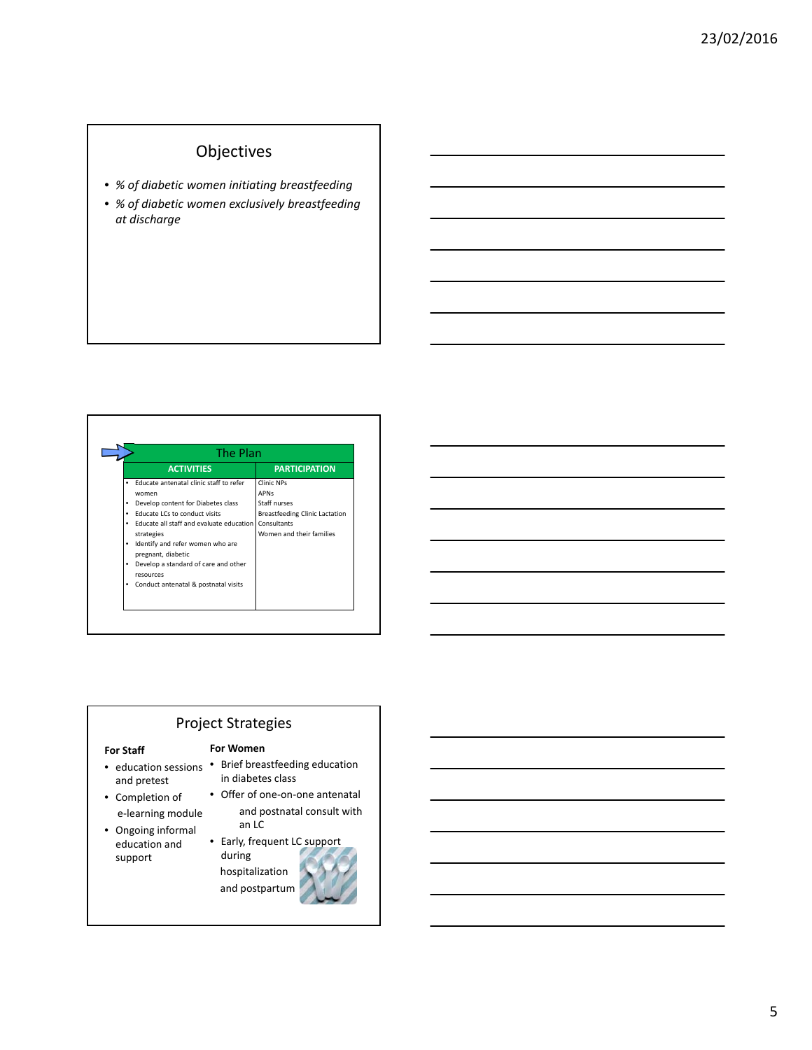# Objectives

- *% of diabetic women initiating breastfeeding*
- *% of diabetic women exclusively breastfeeding at discharge*

|   | The Plan                                               |                                       |  |
|---|--------------------------------------------------------|---------------------------------------|--|
|   | <b>ACTIVITIES</b>                                      | <b>PARTICIPATION</b>                  |  |
| ٠ | Educate antenatal clinic staff to refer                | Clinic NPs                            |  |
|   | women                                                  | <b>APNs</b>                           |  |
|   | Develop content for Diabetes class                     | Staff nurses                          |  |
|   | Educate LCs to conduct visits                          | <b>Breastfeeding Clinic Lactation</b> |  |
| ٠ | Educate all staff and evaluate education               | Consultants                           |  |
|   | strategies                                             | Women and their families              |  |
| ٠ | Identify and refer women who are<br>pregnant, diabetic |                                       |  |
| ٠ | Develop a standard of care and other<br>resources      |                                       |  |
| ٠ | Conduct antenatal & postnatal visits                   |                                       |  |
|   |                                                        |                                       |  |

|                                                                                                                                                                                                                               |  | <u> 1989 - Johann Barn, mars ann an t-Amhain ann an t-Amhain ann an t-Amhain ann an t-Amhain ann an t-Amhain ann a</u> |
|-------------------------------------------------------------------------------------------------------------------------------------------------------------------------------------------------------------------------------|--|------------------------------------------------------------------------------------------------------------------------|
|                                                                                                                                                                                                                               |  | <u> 1989 - Johann Stein, mars an deus Amerikaansk kommunister (* 1958)</u>                                             |
|                                                                                                                                                                                                                               |  | <u> 1989 - Andrea Barbara, Amerikaansk politiker (d. 1989)</u>                                                         |
|                                                                                                                                                                                                                               |  | <u> 1989 - Andrea Stadt Britain, amerikansk politik (* 1958)</u>                                                       |
|                                                                                                                                                                                                                               |  | $\overline{\phantom{a}}$                                                                                               |
| the control of the control of the control of the control of the control of the control of the control of the control of the control of the control of the control of the control of the control of the control of the control |  |                                                                                                                        |
|                                                                                                                                                                                                                               |  |                                                                                                                        |

## Project Strategies

**For Women**

in diabetes class

#### **For Staff**

- education sessions Brief breastfeeding education and pretest
- Completion of e‐learning module
- Ongoing informal education and support
- Offer of one‐on‐one antenatal and postnatal consult with an LC • Early, frequent LC support
	- during hospitalization and postpartum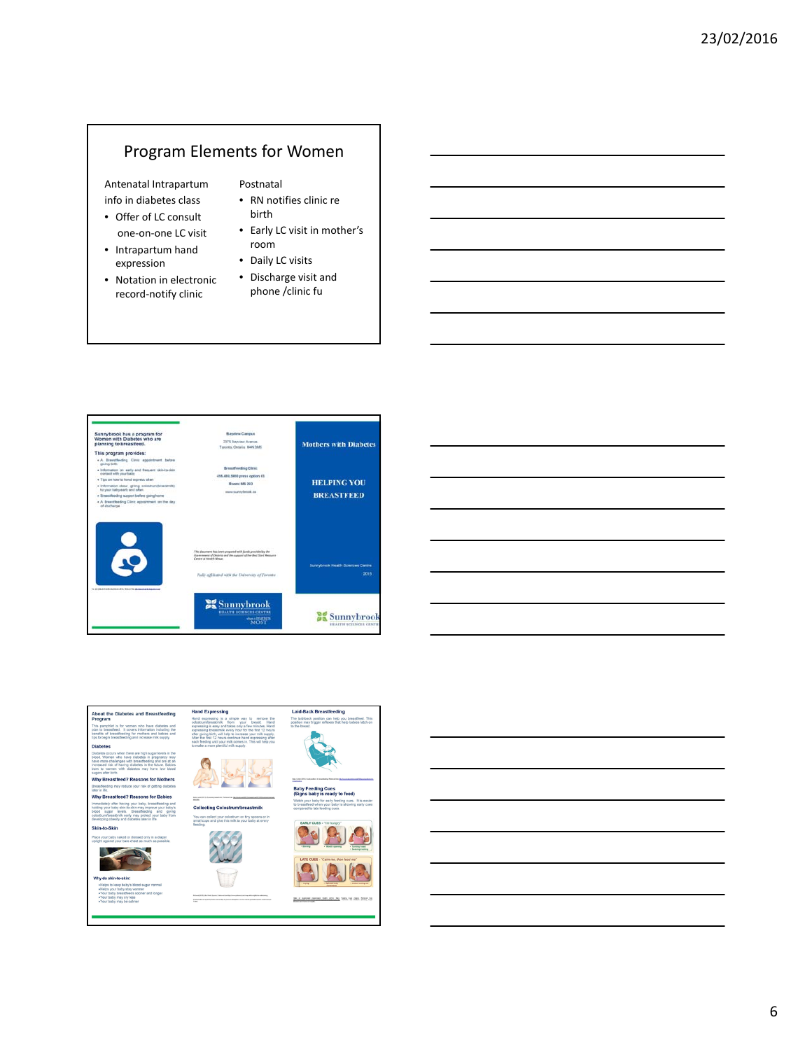# Program Elements for Women

Antenatal Intrapartum info in diabetes class

- Offer of LC consult one‐on‐one LC visit
- Intrapartum hand expression
- Notation in electronic record‐notify clinic

Postnatal

- RN notifies clinic re birth
- Early LC visit in mother's room
- Daily LC visits
- Discharge visit and phone /clinic fu







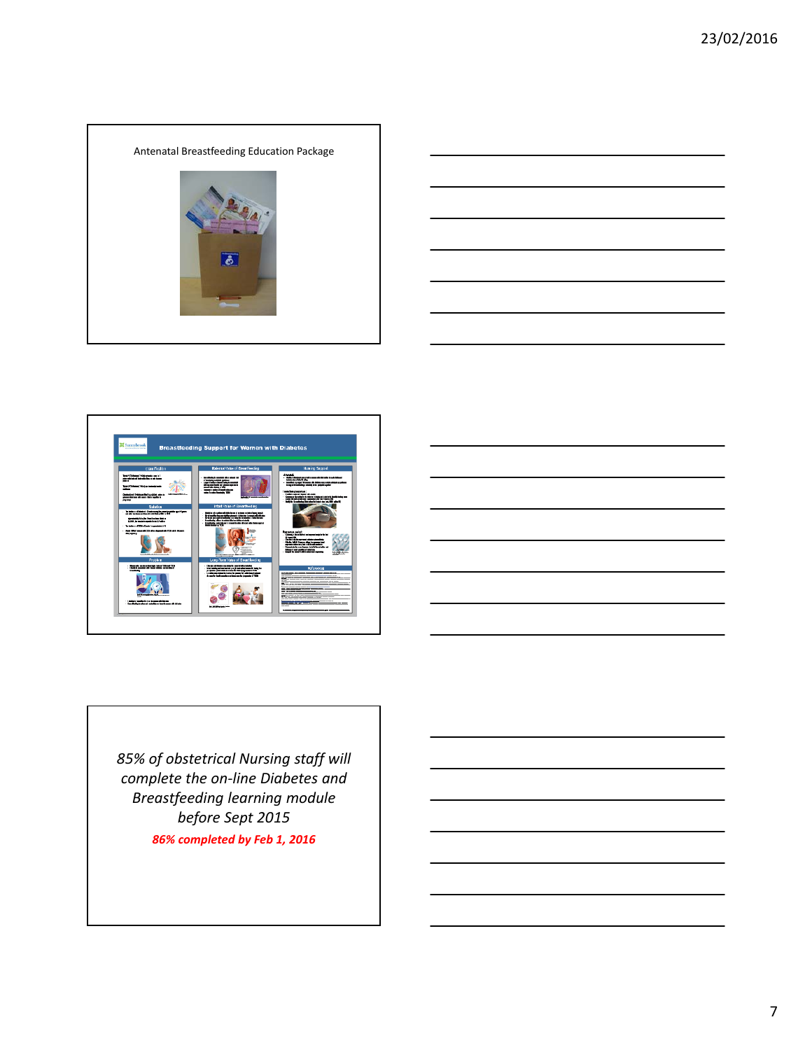







*85% of obstetrical Nursing staff will complete the on‐line Diabetes and Breastfeeding learning module before Sept 2015*

*86% completed by Feb 1, 2016*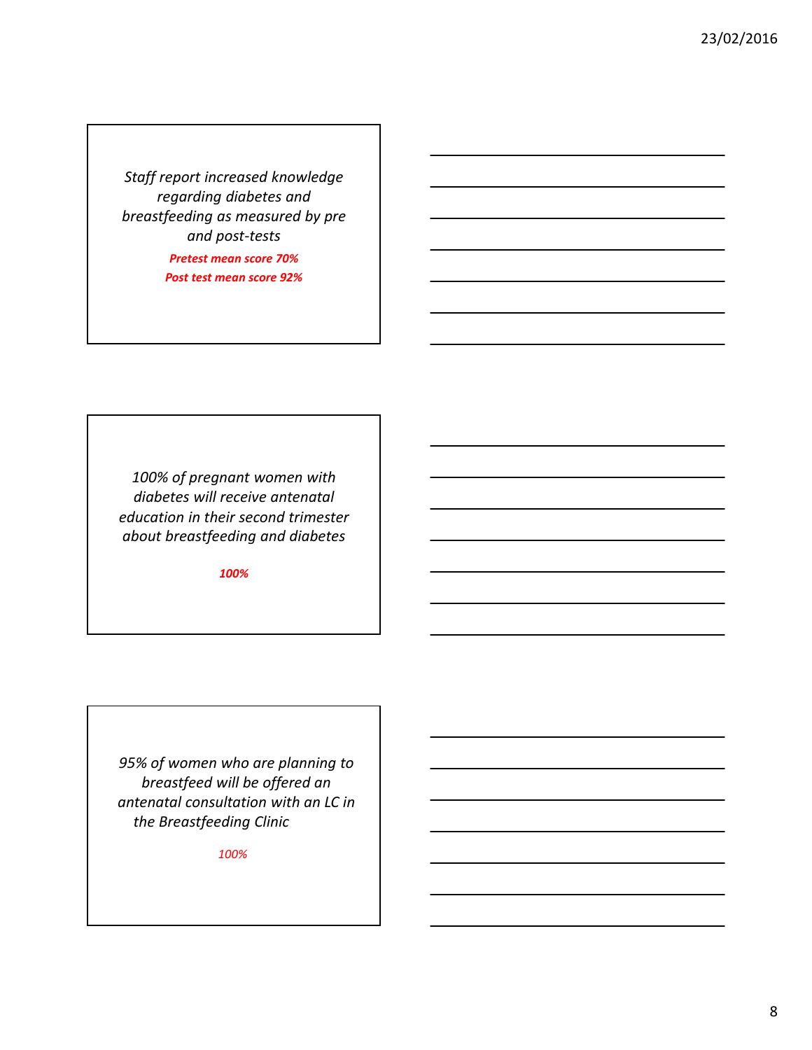*Staff report increased knowledge regarding diabetes and breastfeeding as measured by pre and post‐tests Pretest mean score 70% Post test mean score 92%*

*100% of pregnant women with diabetes will receive antenatal education in their second trimester about breastfeeding and diabetes*

*100%*

*95% of women who are planning to breastfeed will be offered an antenatal consultation with an LC in the Breastfeeding Clinic*

*100%*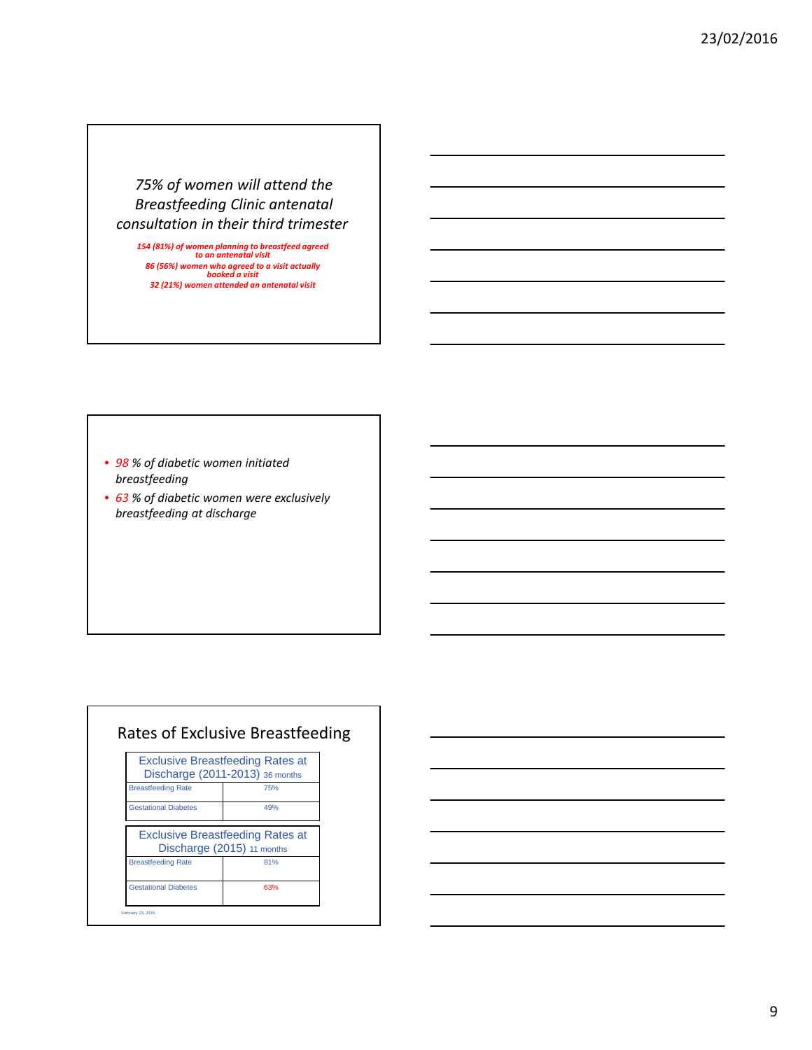## *75% of women will attend the Breastfeeding Clinic antenatal consultation in their third trimester*

*<sup>154</sup> (81%) of women planning to breastfeed agreed to an antenatal visit 86 (56%) women who agreed to a visit actually booked a visit 32 (21%) women attended an antenatal visit*

• *98 % of diabetic women initiated breastfeeding*

• *63 % of diabetic women were exclusively breastfeeding at discharge*

|                             | <b>Exclusive Breastfeeding Rates at</b><br>Discharge (2011-2013) 36 months |
|-----------------------------|----------------------------------------------------------------------------|
| <b>Breastfeeding Rate</b>   | 75%                                                                        |
| <b>Gestational Diabetes</b> | 49%                                                                        |
|                             | <b>Exclusive Breastfeeding Rates at</b><br>Discharge (2015) 11 months      |
| <b>Breastfeeding Rate</b>   | 81%                                                                        |
|                             |                                                                            |